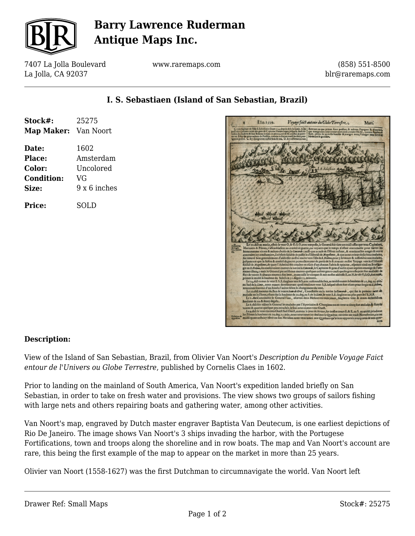

# **Barry Lawrence Ruderman Antique Maps Inc.**

7407 La Jolla Boulevard La Jolla, CA 92037

**Stock#:** 25275 **Map Maker:** Van Noort

**Date:** 1602

**Condition:** VG

**Price:** SOLD

**Place:** Amsterdam **Color:** Uncolored

**Size:** 9 x 6 inches

www.raremaps.com

(858) 551-8500 blr@raremaps.com

| TAn.1500.<br>Voyage faict autour du Globe Terrestre.<br>Mars.                                                                                                                                                                                                                                                                                                                                                                                                                                                                                                                                                                                                      |
|--------------------------------------------------------------------------------------------------------------------------------------------------------------------------------------------------------------------------------------------------------------------------------------------------------------------------------------------------------------------------------------------------------------------------------------------------------------------------------------------------------------------------------------------------------------------------------------------------------------------------------------------------------------------|
| Controladium de l'Ille S.Schofiaen finare a 14 depoiz dels la Lasie. A.ka  <br>Batteaux ou que primes force poillons & aukuas Papegaux & Mouetura,<br>afferêr 6. hévers a terre des gens de Capitaine Huideccoper Jefquela furêt in-<br>que mangeames nous y trouvanes andi certaine Herbe, comme fhiulies de<br>value des Indiens & leur Boneau rempu en pieces, cecy fe fit a noître departe-<br>uit, pleine de jus icelle bouillie & mangee avecq Vinaigre nous fervit de<br>ment. Eday fut prins aultant de Potflon, comme a chacun tract les facia pou-<br>xoyent potter. C. ley chargeames noftre bois & enu, D. ley calfattames nou<br>Medecune & guardian, |
|                                                                                                                                                                                                                                                                                                                                                                                                                                                                                                                                                                                                                                                                    |
|                                                                                                                                                                                                                                                                                                                                                                                                                                                                                                                                                                                                                                                                    |
|                                                                                                                                                                                                                                                                                                                                                                                                                                                                                                                                                                                                                                                                    |
|                                                                                                                                                                                                                                                                                                                                                                                                                                                                                                                                                                                                                                                                    |
|                                                                                                                                                                                                                                                                                                                                                                                                                                                                                                                                                                                                                                                                    |
|                                                                                                                                                                                                                                                                                                                                                                                                                                                                                                                                                                                                                                                                    |
|                                                                                                                                                                                                                                                                                                                                                                                                                                                                                                                                                                                                                                                                    |
| Le 20 dict au matin, eftoit le vent O, & O, S. O, avec tempefie, le General feit tirer un traict affin que tous Capitaines,<br>Mariniers & Pilotes,s'affemblaffent au confeil de guerre, car voyants que le tamps n'effoit convenable pour fauver les<br>biens comme vivres & aultres chofes de la Caucarde : auffi que a caufe de l'Hiver inflant, & continuelles orages & ventz<br>contraires icy comflumiers, il n'efloit faifable de paffer le d'Eftroict de Magallants , & que nous avions defia force malades,                                                                                                                                               |
| fut trouvé bon generalement d'addreffer noftre routre vers l'Ifie de \$, Holms, pour y hiverner & raffrefchir nos malades,<br>juíques a ce que la faifon & confeil de guerre perme deroyent de partir de la & avancer nofire Voyage vers le d'Eftroidt<br>fuididt de Magellases de quoy l'Admiral feit coucher en eferit d'un chacun l'advis & opinion , efperant ainfi en Brieffut-<br>gir en S.Helens, ilz conferverent encores la navire la Cancarde, le Capitaine & gens d'icelle ayant reprins courrige de l'am-                                                                                                                                              |
| mener illecq, y meit le General par astifience encores quelques aultres gens a caufe queles gens effoyent fort malades da<br>flux de ventre & chacun tourna a fon borr, ayans callé le trinquet & mis noftre addreffe E,au N,le vet O,S,O,fort roir;<br>peimes le middi la haulteur du Soleil en 31 degréz 15, minutes.<br>Le 24, dict cumes le vent E.S. E, finglans vers le S, avec raifonnable frez au middivumes la haulteur de 31 deg. 24, più.                                                                                                                                                                                                               |
| an Sud de la Linie, nous cumes doreienavant quali tonfiours vent S.E.lefquel effoit fort efcats pour furgir en & Hent,<br>gournions fouvent d'un bord a l'aultre felon le changement du vent.<br>Le 30, dift mourut du flux de ventre lean de Gral, Coneftable en la navire la Cascarde, qui fut le premier mott de<br>maladie en la Hotre, eftans fur la haulteur de 30, deg, au S. de la Linie, le vent S. E, finglions au plus pres de l'E.N.F.                                                                                                                                                                                                                 |
| Le 2. Auril amoindrit le General l'eau, afcavoir deux Mefures en trois jours, finglans a vent & cours deflabilent<br>haulteur de 20. & demy degréz,<br>Le 8. dict feit vifirer le General les malades par l'Apoticaire & Churgienz on en trouva cincq fort malades da flux de<br>ventre & quattre quelque peu entachéz, le foir nous cumes vent Oneft.                                                                                                                                                                                                                                                                                                             |
| Le 9, dict le vent encores Oueft Sud Oueft, comme le jour de devant fur noftre cours E.& E, an S. au middi prindrent<br>les Pilotes la haulteur en 29.deg.23.min, nous trouvames icy decliner le Quadran environ un traid: Norsefferant, car au<br>middi quant ceftuicy effoit en fon Meridian nous trouvames aux Quadrans qu'avions apportéz avecq nous de nos quar-                                                                                                                                                                                                                                                                                              |
| tiers                                                                                                                                                                                                                                                                                                                                                                                                                                                                                                                                                                                                                                                              |

### **I. S. Sebastiaen (Island of San Sebastian, Brazil)**

| <b>Description:</b> |
|---------------------|

View of the Island of San Sebastian, Brazil, from Olivier Van Noort's *Description du Penible Voyage Faict entour de l'Univers ou Globe Terrestre*, published by Cornelis Claes in 1602.

Prior to landing on the mainland of South America, Van Noort's expedition landed briefly on San Sebastian, in order to take on fresh water and provisions. The view shows two groups of sailors fishing with large nets and others repairing boats and gathering water, among other activities.

Van Noort's map, engraved by Dutch master engraver Baptista Van Deutecum, is one earliest depictions of Rio De Janeiro. The image shows Van Noort's 3 ships invading the harbor, with the Portugese Fortifications, town and troops along the shoreline and in row boats. The map and Van Noort's account are rare, this being the first example of the map to appear on the market in more than 25 years.

Olivier van Noort (1558-1627) was the first Dutchman to circumnavigate the world. Van Noort left